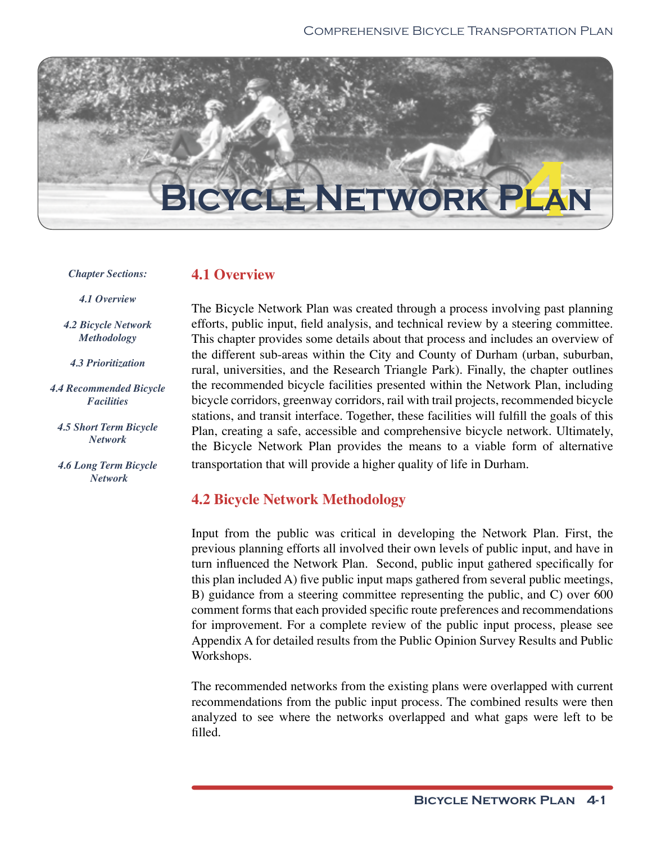

#### *Chapter Sections:*

#### **4.1 Overview**

*4.1 Overview*

*4.2 Bicycle Network Methodology*

*4.3 Prioritization*

*4.4 Recommended Bicycle Facilities*

*4.5 Short Term Bicycle Network*

*4.6 Long Term Bicycle Network*

The Bicycle Network Plan was created through a process involving past planning efforts, public input, field analysis, and technical review by a steering committee. This chapter provides some details about that process and includes an overview of the different sub-areas within the City and County of Durham (urban, suburban, rural, universities, and the Research Triangle Park). Finally, the chapter outlines the recommended bicycle facilities presented within the Network Plan, including bicycle corridors, greenway corridors, rail with trail projects, recommended bicycle stations, and transit interface. Together, these facilities will fulfill the goals of this Plan, creating a safe, accessible and comprehensive bicycle network. Ultimately, the Bicycle Network Plan provides the means to a viable form of alternative transportation that will provide a higher quality of life in Durham.

# **4.2 Bicycle Network Methodology**

Input from the public was critical in developing the Network Plan. First, the previous planning efforts all involved their own levels of public input, and have in turn influenced the Network Plan. Second, public input gathered specifically for this plan included A) five public input maps gathered from several public meetings, B) guidance from a steering committee representing the public, and C) over 600 comment forms that each provided specific route preferences and recommendations for improvement. For a complete review of the public input process, please see Appendix A for detailed results from the Public Opinion Survey Results and Public Workshops.

The recommended networks from the existing plans were overlapped with current recommendations from the public input process. The combined results were then analyzed to see where the networks overlapped and what gaps were left to be filled.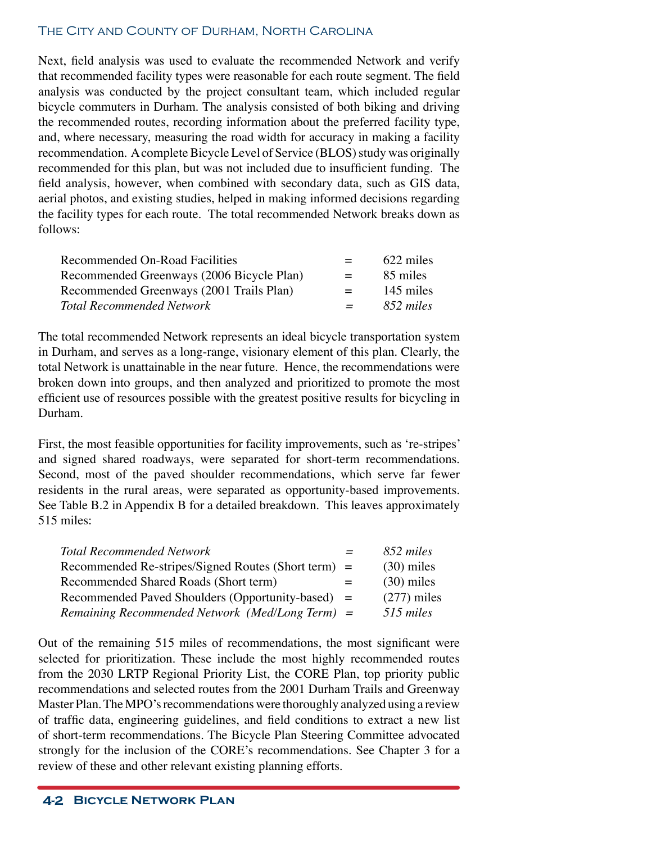Next, field analysis was used to evaluate the recommended Network and verify that recommended facility types were reasonable for each route segment. The field analysis was conducted by the project consultant team, which included regular bicycle commuters in Durham. The analysis consisted of both biking and driving the recommended routes, recording information about the preferred facility type, and, where necessary, measuring the road width for accuracy in making a facility recommendation. A complete Bicycle Level of Service (BLOS) study was originally recommended for this plan, but was not included due to insufficient funding. The field analysis, however, when combined with secondary data, such as GIS data, aerial photos, and existing studies, helped in making informed decisions regarding the facility types for each route. The total recommended Network breaks down as follows:

| Recommended On-Road Facilities            | $=$      | 622 miles |
|-------------------------------------------|----------|-----------|
| Recommended Greenways (2006 Bicycle Plan) | $=$      | 85 miles  |
| Recommended Greenways (2001 Trails Plan)  | $=$ $-$  | 145 miles |
| <b>Total Recommended Network</b>          | $\equiv$ | 852 miles |

The total recommended Network represents an ideal bicycle transportation system in Durham, and serves as a long-range, visionary element of this plan. Clearly, the total Network is unattainable in the near future. Hence, the recommendations were broken down into groups, and then analyzed and prioritized to promote the most efficient use of resources possible with the greatest positive results for bicycling in Durham.

First, the most feasible opportunities for facility improvements, such as 're-stripes' and signed shared roadways, were separated for short-term recommendations. Second, most of the paved shoulder recommendations, which serve far fewer residents in the rural areas, were separated as opportunity-based improvements. See Table B.2 in Appendix B for a detailed breakdown. This leaves approximately 515 miles:

| <b>Total Recommended Network</b>                      |     | 852 miles     |
|-------------------------------------------------------|-----|---------------|
| Recommended Re-stripes/Signed Routes (Short term) $=$ |     | $(30)$ miles  |
| Recommended Shared Roads (Short term)                 | $=$ | $(30)$ miles  |
| Recommended Paved Shoulders (Opportunity-based) =     |     | $(277)$ miles |
| Remaining Recommended Network (Med/Long Term) =       |     | 515 miles     |

Out of the remaining 515 miles of recommendations, the most significant were selected for prioritization. These include the most highly recommended routes from the 2030 LRTP Regional Priority List, the CORE Plan, top priority public recommendations and selected routes from the 2001 Durham Trails and Greenway Master Plan. The MPO's recommendations were thoroughly analyzed using a review of traffic data, engineering guidelines, and field conditions to extract a new list of short-term recommendations. The Bicycle Plan Steering Committee advocated strongly for the inclusion of the CORE's recommendations. See Chapter 3 for a review of these and other relevant existing planning efforts.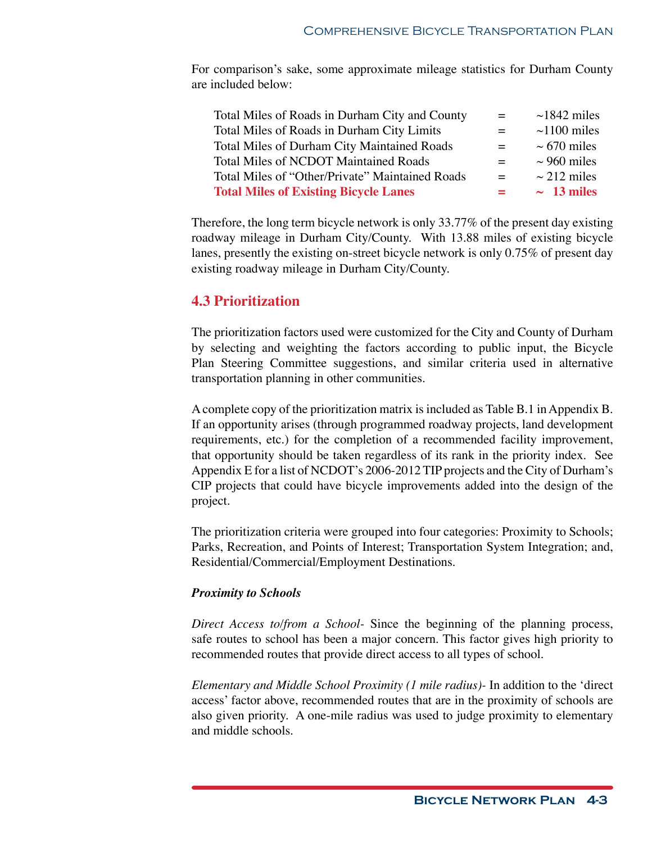For comparison's sake, some approximate mileage statistics for Durham County are included below:

| Total Miles of Roads in Durham City and County  | $=$ $-$           | $\sim$ 1842 miles |
|-------------------------------------------------|-------------------|-------------------|
| Total Miles of Roads in Durham City Limits      | $=$               | $\sim$ 1100 miles |
| Total Miles of Durham City Maintained Roads     | $=$ $-$           | $\sim 670$ miles  |
| <b>Total Miles of NCDOT Maintained Roads</b>    |                   | $\sim$ 960 miles  |
| Total Miles of "Other/Private" Maintained Roads | $\qquad \qquad -$ | $\sim$ 212 miles  |
| <b>Total Miles of Existing Bicycle Lanes</b>    |                   | $\sim 13$ miles   |

Therefore, the long term bicycle network is only 33.77% of the present day existing roadway mileage in Durham City/County. With 13.88 miles of existing bicycle lanes, presently the existing on-street bicycle network is only 0.75% of present day existing roadway mileage in Durham City/County.

# **4.3 Prioritization**

The prioritization factors used were customized for the City and County of Durham by selecting and weighting the factors according to public input, the Bicycle Plan Steering Committee suggestions, and similar criteria used in alternative transportation planning in other communities.

A complete copy of the prioritization matrix is included as Table B.1 in Appendix B. If an opportunity arises (through programmed roadway projects, land development requirements, etc.) for the completion of a recommended facility improvement, that opportunity should be taken regardless of its rank in the priority index. See Appendix E for a list of NCDOT's 2006-2012 TIP projects and the City of Durham's CIP projects that could have bicycle improvements added into the design of the project.

The prioritization criteria were grouped into four categories: Proximity to Schools; Parks, Recreation, and Points of Interest; Transportation System Integration; and, Residential/Commercial/Employment Destinations.

### *Proximity to Schools*

*Direct Access to/from a School-* Since the beginning of the planning process, safe routes to school has been a major concern. This factor gives high priority to recommended routes that provide direct access to all types of school.

*Elementary and Middle School Proximity (1 mile radius)-* In addition to the 'direct access' factor above, recommended routes that are in the proximity of schools are also given priority. A one-mile radius was used to judge proximity to elementary and middle schools.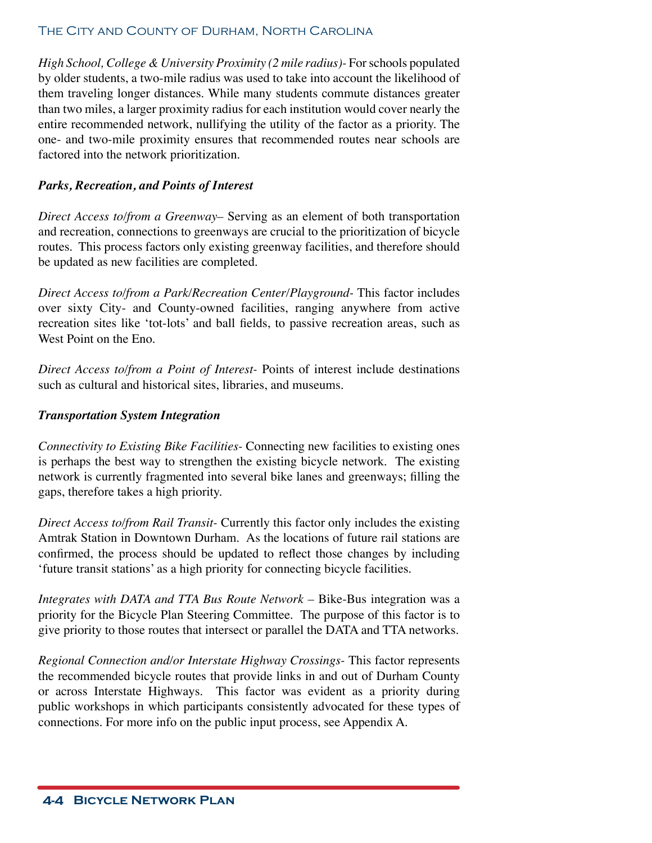*High School, College & University Proximity (2 mile radius)-* For schools populated by older students, a two-mile radius was used to take into account the likelihood of them traveling longer distances. While many students commute distances greater than two miles, a larger proximity radius for each institution would cover nearly the entire recommended network, nullifying the utility of the factor as a priority. The one- and two-mile proximity ensures that recommended routes near schools are factored into the network prioritization.

#### *Parks, Recreation, and Points of Interest*

*Direct Access to/from a Greenway–* Serving as an element of both transportation and recreation, connections to greenways are crucial to the prioritization of bicycle routes. This process factors only existing greenway facilities, and therefore should be updated as new facilities are completed.

*Direct Access to/from a Park/Recreation Center/Playground-* This factor includes over sixty City- and County-owned facilities, ranging anywhere from active recreation sites like 'tot-lots' and ball fields, to passive recreation areas, such as West Point on the Eno.

*Direct Access to/from a Point of Interest-* Points of interest include destinations such as cultural and historical sites, libraries, and museums.

#### *Transportation System Integration*

*Connectivity to Existing Bike Facilities-* Connecting new facilities to existing ones is perhaps the best way to strengthen the existing bicycle network. The existing network is currently fragmented into several bike lanes and greenways; filling the gaps, therefore takes a high priority.

*Direct Access to/from Rail Transit-* Currently this factor only includes the existing Amtrak Station in Downtown Durham. As the locations of future rail stations are confirmed, the process should be updated to reflect those changes by including 'future transit stations' as a high priority for connecting bicycle facilities.

*Integrates with DATA and TTA Bus Route Network –* Bike-Bus integration was a priority for the Bicycle Plan Steering Committee. The purpose of this factor is to give priority to those routes that intersect or parallel the DATA and TTA networks.

*Regional Connection and/or Interstate Highway Crossings-* This factor represents the recommended bicycle routes that provide links in and out of Durham County or across Interstate Highways. This factor was evident as a priority during public workshops in which participants consistently advocated for these types of connections. For more info on the public input process, see Appendix A.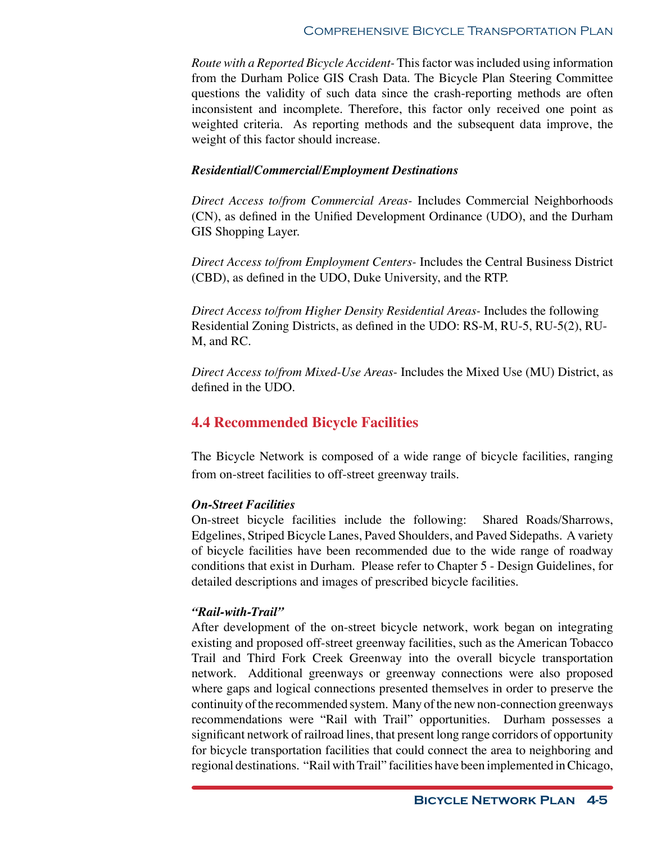*Route with a Reported Bicycle Accident-* This factor was included using information from the Durham Police GIS Crash Data. The Bicycle Plan Steering Committee questions the validity of such data since the crash-reporting methods are often inconsistent and incomplete. Therefore, this factor only received one point as weighted criteria. As reporting methods and the subsequent data improve, the weight of this factor should increase.

### *Residential/Commercial/Employment Destinations*

*Direct Access to/from Commercial Areas-* Includes Commercial Neighborhoods (CN), as defined in the Unified Development Ordinance (UDO), and the Durham GIS Shopping Layer.

*Direct Access to/from Employment Centers-* Includes the Central Business District (CBD), as defined in the UDO, Duke University, and the RTP.

*Direct Access to/from Higher Density Residential Areas-* Includes the following Residential Zoning Districts, as defined in the UDO: RS-M, RU-5, RU-5(2), RU-M, and RC.

*Direct Access to/from Mixed-Use Areas-* Includes the Mixed Use (MU) District, as defined in the UDO.

# **4.4 Recommended Bicycle Facilities**

The Bicycle Network is composed of a wide range of bicycle facilities, ranging from on-street facilities to off-street greenway trails.

### *On-Street Facilities*

On-street bicycle facilities include the following: Shared Roads/Sharrows, Edgelines, Striped Bicycle Lanes, Paved Shoulders, and Paved Sidepaths. A variety of bicycle facilities have been recommended due to the wide range of roadway conditions that exist in Durham. Please refer to Chapter 5 - Design Guidelines, for detailed descriptions and images of prescribed bicycle facilities.

### *"Rail-with-Trail"*

After development of the on-street bicycle network, work began on integrating existing and proposed off-street greenway facilities, such as the American Tobacco Trail and Third Fork Creek Greenway into the overall bicycle transportation network. Additional greenways or greenway connections were also proposed where gaps and logical connections presented themselves in order to preserve the continuity of the recommended system. Many of the new non-connection greenways recommendations were "Rail with Trail" opportunities. Durham possesses a significant network of railroad lines, that present long range corridors of opportunity for bicycle transportation facilities that could connect the area to neighboring and regional destinations. "Rail with Trail" facilities have been implemented in Chicago,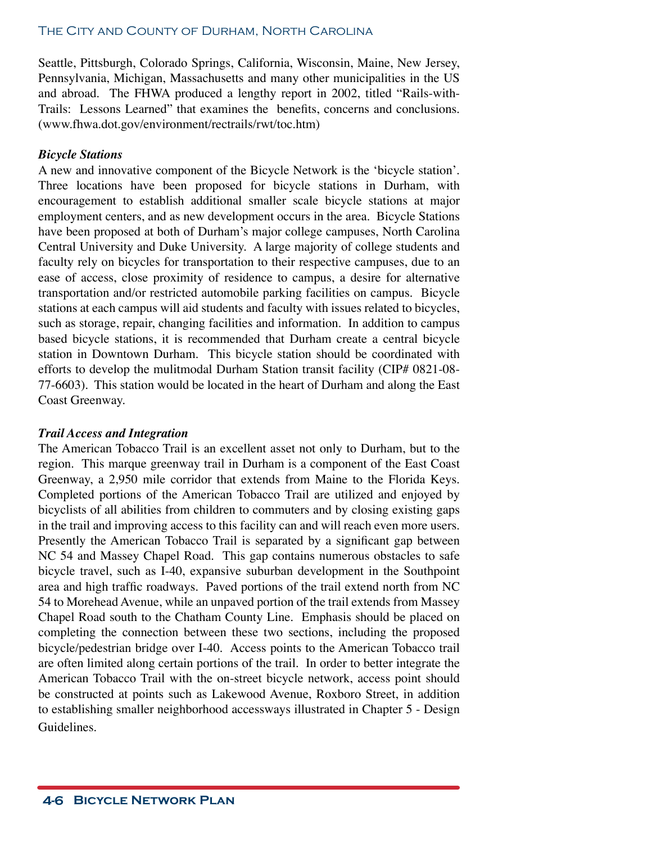Seattle, Pittsburgh, Colorado Springs, California, Wisconsin, Maine, New Jersey, Pennsylvania, Michigan, Massachusetts and many other municipalities in the US and abroad. The FHWA produced a lengthy report in 2002, titled "Rails-with-Trails: Lessons Learned" that examines the benefits, concerns and conclusions. (www.fhwa.dot.gov/environment/rectrails/rwt/toc.htm)

#### *Bicycle Stations*

A new and innovative component of the Bicycle Network is the 'bicycle station'. Three locations have been proposed for bicycle stations in Durham, with encouragement to establish additional smaller scale bicycle stations at major employment centers, and as new development occurs in the area. Bicycle Stations have been proposed at both of Durham's major college campuses, North Carolina Central University and Duke University. A large majority of college students and faculty rely on bicycles for transportation to their respective campuses, due to an ease of access, close proximity of residence to campus, a desire for alternative transportation and/or restricted automobile parking facilities on campus. Bicycle stations at each campus will aid students and faculty with issues related to bicycles, such as storage, repair, changing facilities and information. In addition to campus based bicycle stations, it is recommended that Durham create a central bicycle station in Downtown Durham. This bicycle station should be coordinated with efforts to develop the mulitmodal Durham Station transit facility (CIP# 0821-08- 77-6603). This station would be located in the heart of Durham and along the East Coast Greenway.

#### *Trail Access and Integration*

The American Tobacco Trail is an excellent asset not only to Durham, but to the region. This marque greenway trail in Durham is a component of the East Coast Greenway, a 2,950 mile corridor that extends from Maine to the Florida Keys. Completed portions of the American Tobacco Trail are utilized and enjoyed by bicyclists of all abilities from children to commuters and by closing existing gaps in the trail and improving access to this facility can and will reach even more users. Presently the American Tobacco Trail is separated by a significant gap between NC 54 and Massey Chapel Road. This gap contains numerous obstacles to safe bicycle travel, such as I-40, expansive suburban development in the Southpoint area and high traffic roadways. Paved portions of the trail extend north from NC 54 to Morehead Avenue, while an unpaved portion of the trail extends from Massey Chapel Road south to the Chatham County Line. Emphasis should be placed on completing the connection between these two sections, including the proposed bicycle/pedestrian bridge over I-40. Access points to the American Tobacco trail are often limited along certain portions of the trail. In order to better integrate the American Tobacco Trail with the on-street bicycle network, access point should be constructed at points such as Lakewood Avenue, Roxboro Street, in addition to establishing smaller neighborhood accessways illustrated in Chapter 5 - Design Guidelines.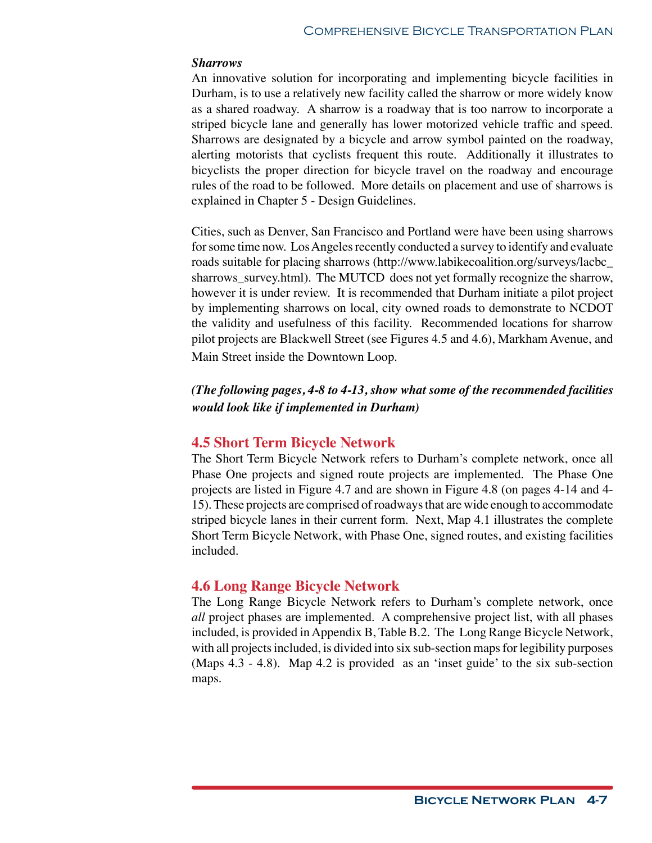#### *Sharrows*

An innovative solution for incorporating and implementing bicycle facilities in Durham, is to use a relatively new facility called the sharrow or more widely know as a shared roadway. A sharrow is a roadway that is too narrow to incorporate a striped bicycle lane and generally has lower motorized vehicle traffic and speed. Sharrows are designated by a bicycle and arrow symbol painted on the roadway, alerting motorists that cyclists frequent this route. Additionally it illustrates to bicyclists the proper direction for bicycle travel on the roadway and encourage rules of the road to be followed. More details on placement and use of sharrows is explained in Chapter 5 - Design Guidelines.

Cities, such as Denver, San Francisco and Portland were have been using sharrows for some time now. Los Angeles recently conducted a survey to identify and evaluate roads suitable for placing sharrows (http://www.labikecoalition.org/surveys/lacbc\_ sharrows\_survey.html). The MUTCD does not yet formally recognize the sharrow, however it is under review. It is recommended that Durham initiate a pilot project by implementing sharrows on local, city owned roads to demonstrate to NCDOT the validity and usefulness of this facility. Recommended locations for sharrow pilot projects are Blackwell Street (see Figures 4.5 and 4.6), Markham Avenue, and Main Street inside the Downtown Loop.

### *(The following pages, 4-8 to 4-13, show what some of the recommended facilities would look like if implemented in Durham)*

#### **4.5 Short Term Bicycle Network**

The Short Term Bicycle Network refers to Durham's complete network, once all Phase One projects and signed route projects are implemented. The Phase One projects are listed in Figure 4.7 and are shown in Figure 4.8 (on pages 4-14 and 4- 15). These projects are comprised of roadways that are wide enough to accommodate striped bicycle lanes in their current form. Next, Map 4.1 illustrates the complete Short Term Bicycle Network, with Phase One, signed routes, and existing facilities included.

#### **4.6 Long Range Bicycle Network**

The Long Range Bicycle Network refers to Durham's complete network, once *all* project phases are implemented. A comprehensive project list, with all phases included, is provided in Appendix B, Table B.2. The Long Range Bicycle Network, with all projects included, is divided into six sub-section maps for legibility purposes (Maps 4.3 - 4.8). Map 4.2 is provided as an 'inset guide' to the six sub-section maps.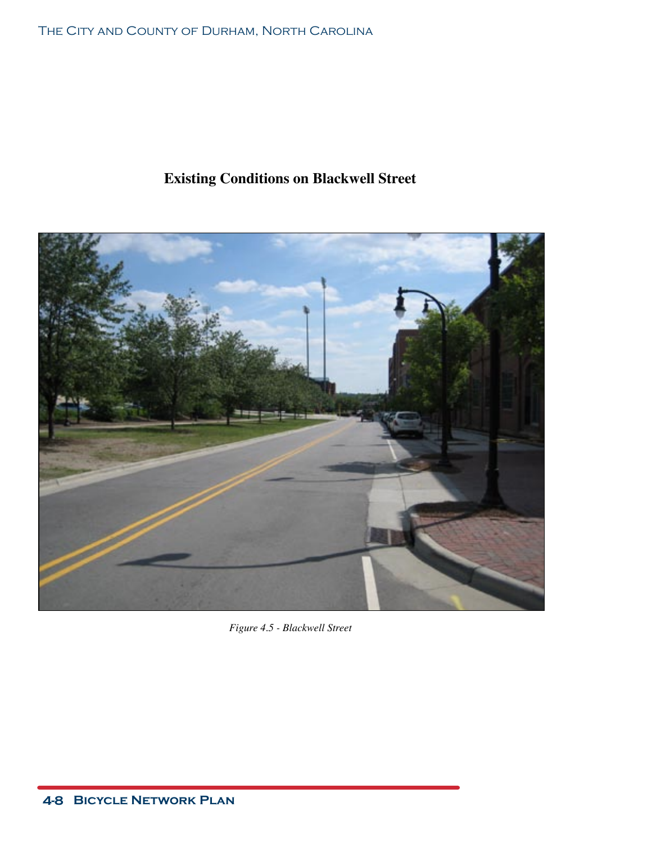# **Existing Conditions on Blackwell Street**



*Figure 4.5 - Blackwell Street*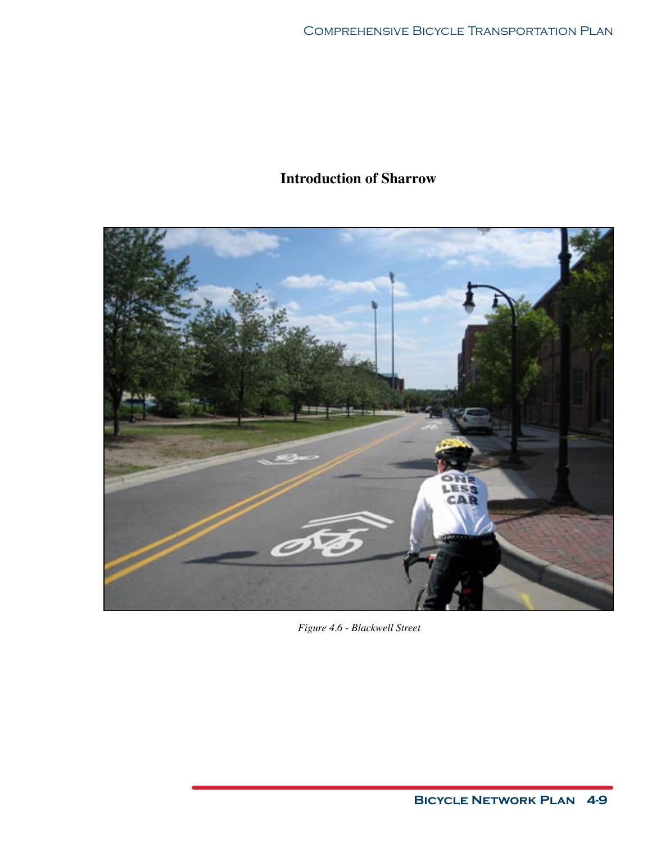# **Introduction of Sharrow**



*Figure 4.6 - Blackwell Street*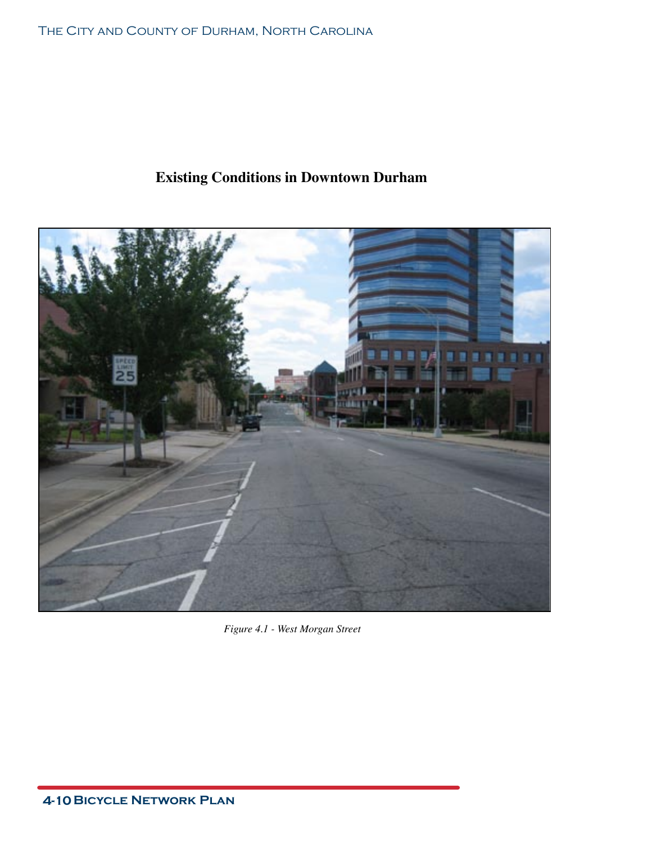# **Existing Conditions in Downtown Durham**



*Figure 4.1 - West Morgan Street*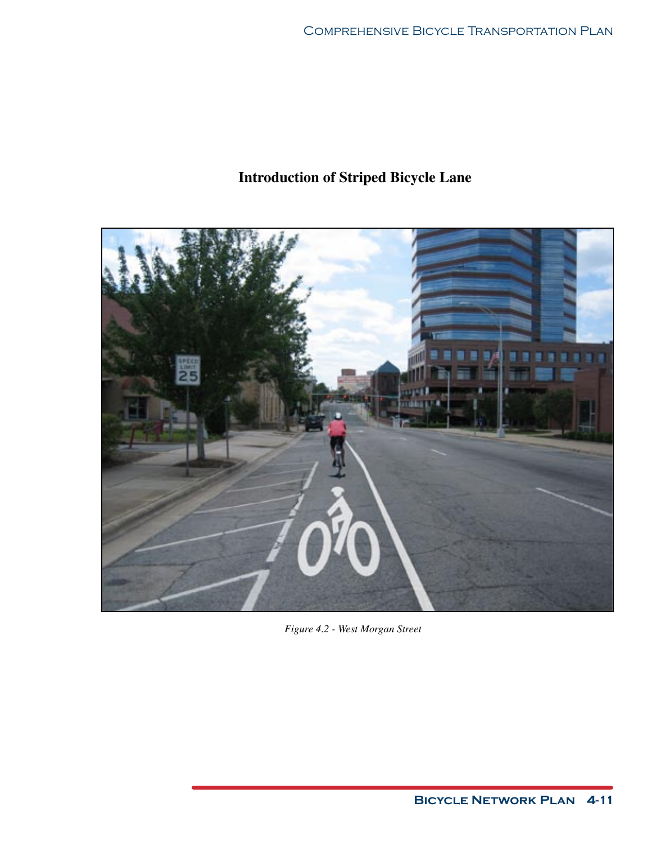# **Introduction of Striped Bicycle Lane**



*Figure 4.2 - West Morgan Street*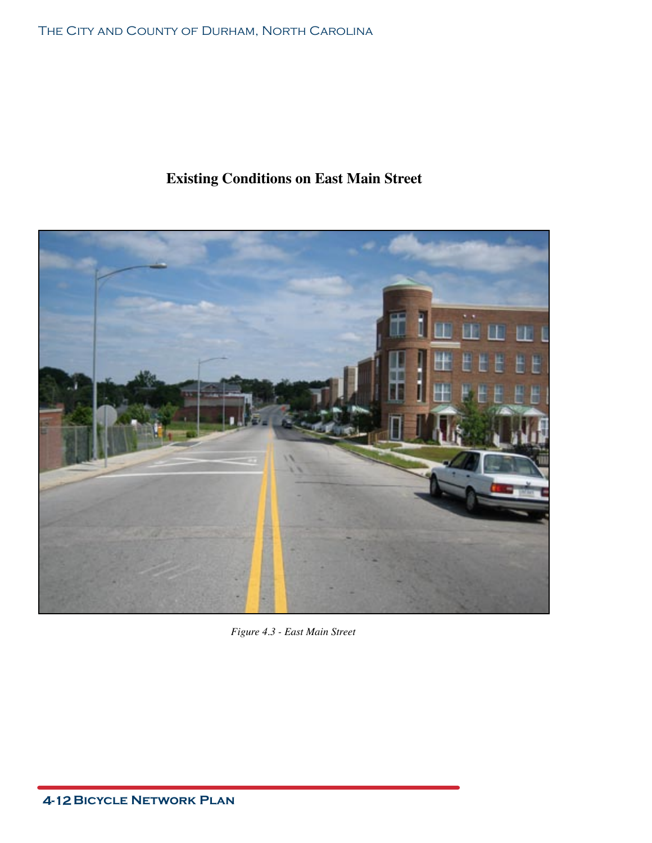# **Existing Conditions on East Main Street**



*Figure 4.3 - East Main Street*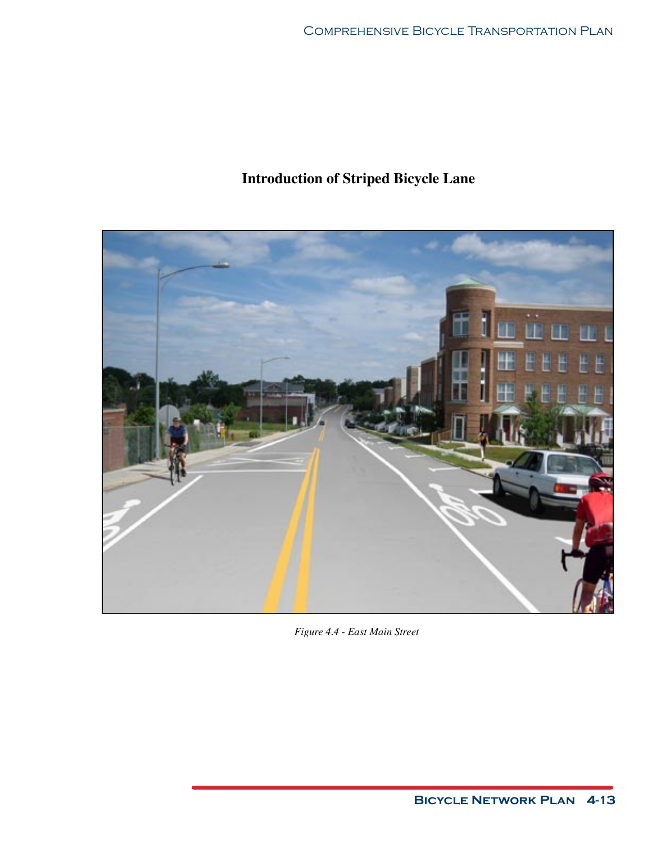# **Introduction of Striped Bicycle Lane**



*Figure 4.4 - East Main Street*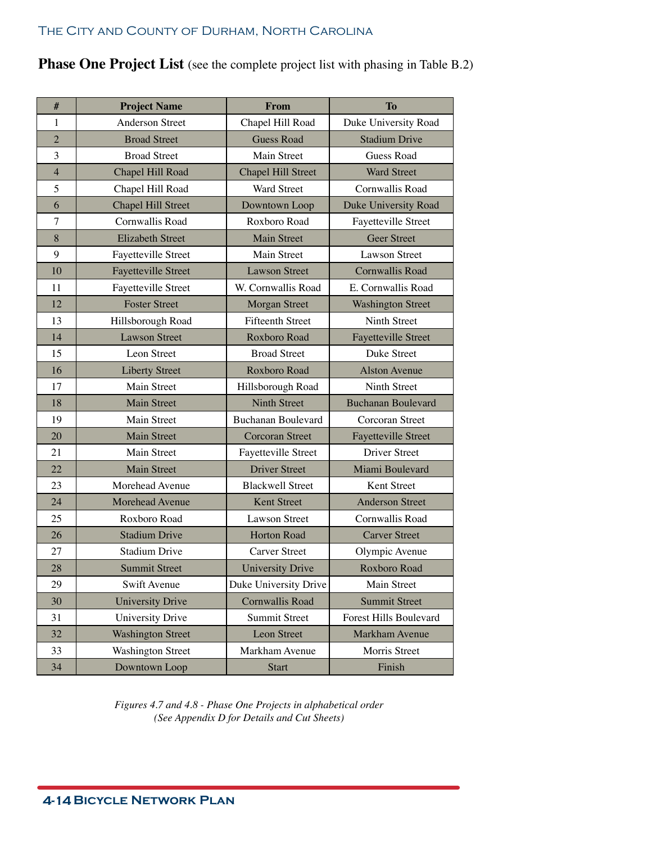**Phase One Project List** (see the complete project list with phasing in Table B.2)

| $\#$           | <b>Project Name</b>        | From                      | To                         |
|----------------|----------------------------|---------------------------|----------------------------|
| $\mathbf{1}$   | <b>Anderson Street</b>     | Chapel Hill Road          | Duke University Road       |
| $\overline{2}$ | <b>Broad Street</b>        | <b>Guess Road</b>         | <b>Stadium Drive</b>       |
| 3              | <b>Broad Street</b>        | <b>Main Street</b>        | <b>Guess Road</b>          |
| $\overline{4}$ | Chapel Hill Road           | <b>Chapel Hill Street</b> | <b>Ward Street</b>         |
| 5              | Chapel Hill Road           | Ward Street               | Cornwallis Road            |
| 6              | <b>Chapel Hill Street</b>  | Downtown Loop             | Duke University Road       |
| 7              | Cornwallis Road            | Roxboro Road              | Fayetteville Street        |
| 8              | <b>Elizabeth Street</b>    | <b>Main Street</b>        | <b>Geer Street</b>         |
| 9              | Fayetteville Street        | Main Street               | <b>Lawson Street</b>       |
| 10             | <b>Fayetteville Street</b> | <b>Lawson Street</b>      | Cornwallis Road            |
| 11             | Fayetteville Street        | W. Cornwallis Road        | E. Cornwallis Road         |
| 12             | <b>Foster Street</b>       | <b>Morgan Street</b>      | <b>Washington Street</b>   |
| 13             | Hillsborough Road          | <b>Fifteenth Street</b>   | Ninth Street               |
| 14             | <b>Lawson Street</b>       | Roxboro Road              | <b>Fayetteville Street</b> |
| 15             | Leon Street                | <b>Broad Street</b>       | <b>Duke Street</b>         |
| 16             | <b>Liberty Street</b>      | Roxboro Road              | <b>Alston Avenue</b>       |
| 17             | Main Street                | Hillsborough Road         | Ninth Street               |
| 18             | <b>Main Street</b>         | <b>Ninth Street</b>       | <b>Buchanan Boulevard</b>  |
| 19             | Main Street                | <b>Buchanan Boulevard</b> | Corcoran Street            |
| 20             | <b>Main Street</b>         | <b>Corcoran Street</b>    | <b>Fayetteville Street</b> |
| 21             | Main Street                | Fayetteville Street       | <b>Driver Street</b>       |
| 22             | <b>Main Street</b>         | <b>Driver Street</b>      | Miami Boulevard            |
| 23             | Morehead Avenue            | <b>Blackwell Street</b>   | Kent Street                |
| 24             | Morehead Avenue            | <b>Kent Street</b>        | <b>Anderson Street</b>     |
| 25             | Roxboro Road               | <b>Lawson Street</b>      | Cornwallis Road            |
| 26             | <b>Stadium Drive</b>       | Horton Road               | <b>Carver Street</b>       |
| 27             | <b>Stadium Drive</b>       | <b>Carver Street</b>      | Olympic Avenue             |
| 28             | <b>Summit Street</b>       | University Drive          | Roxboro Road               |
| 29             | Swift Avenue               | Duke University Drive     | Main Street                |
| 30             | <b>University Drive</b>    | <b>Cornwallis Road</b>    | <b>Summit Street</b>       |
| 31             | University Drive           | <b>Summit Street</b>      | Forest Hills Boulevard     |
| 32             | <b>Washington Street</b>   | Leon Street               | Markham Avenue             |
| 33             | <b>Washington Street</b>   | Markham Avenue            | Morris Street              |
| 34             | Downtown Loop              | <b>Start</b>              | Finish                     |

*Figures 4.7 and 4.8 - Phase One Projects in alphabetical order (See Appendix D for Details and Cut Sheets)*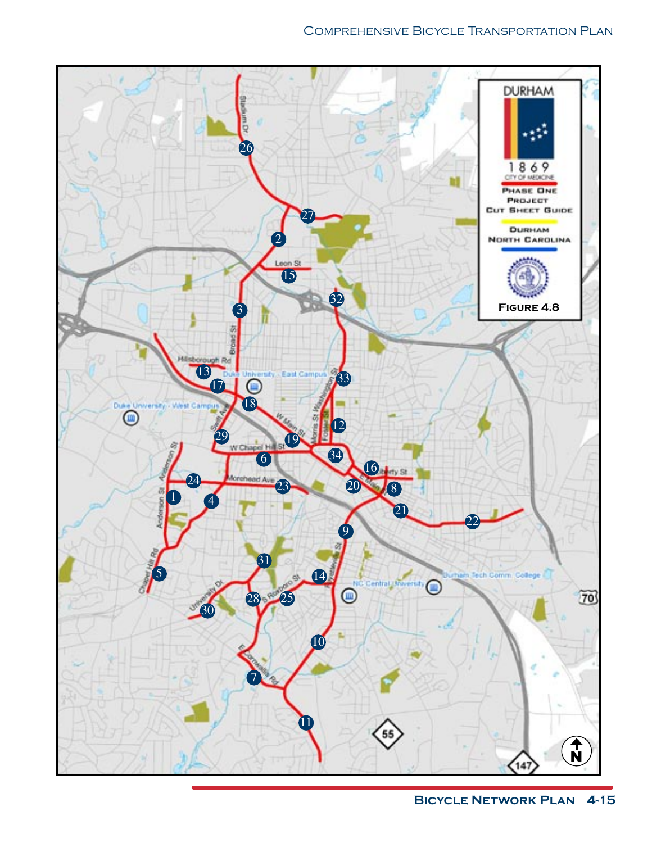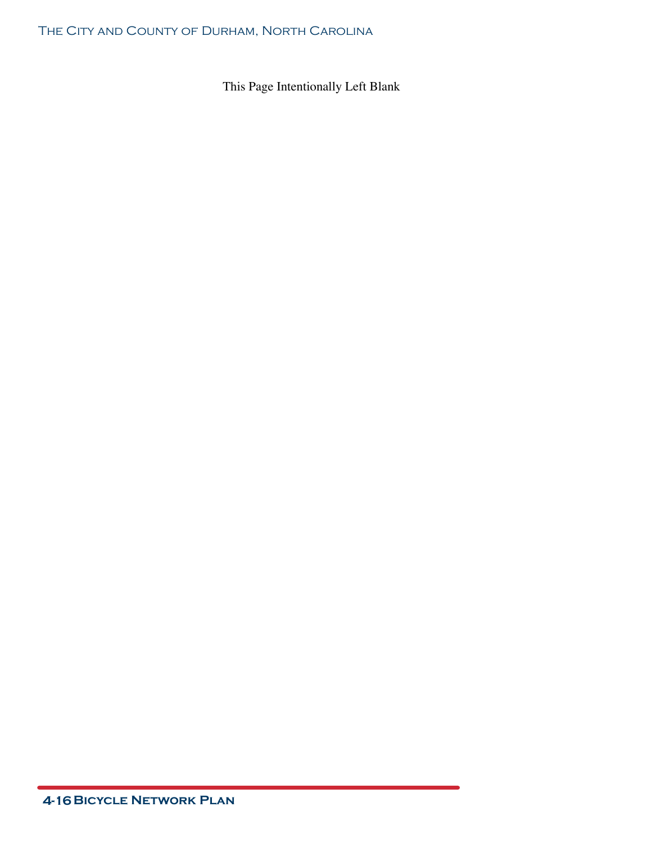This Page Intentionally Left Blank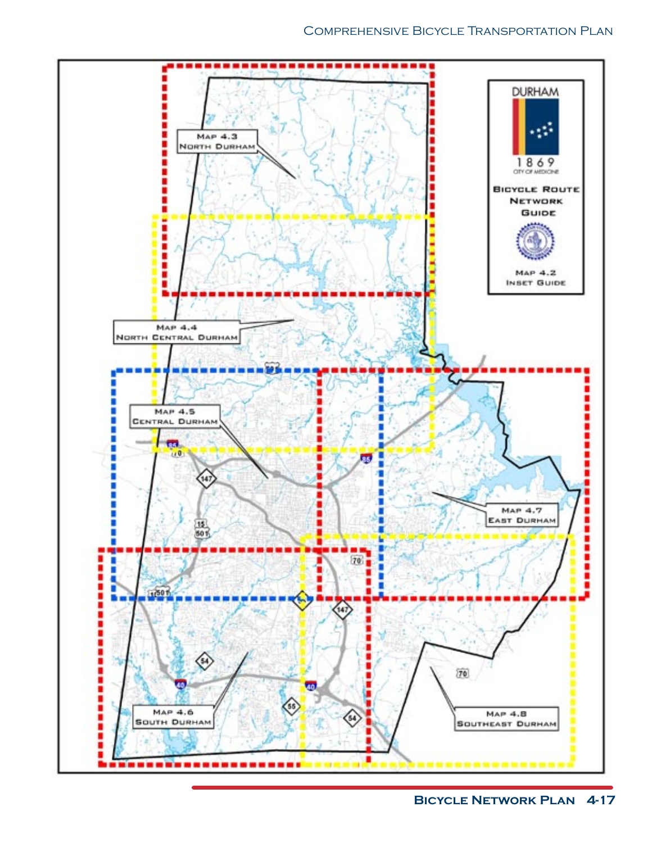